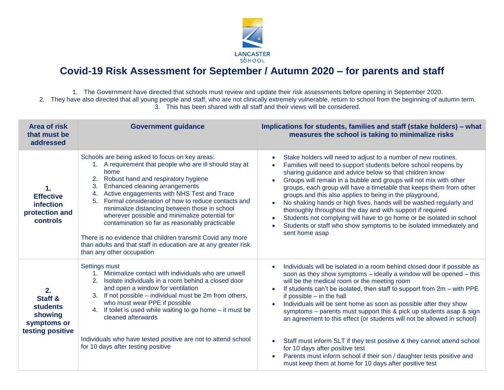

## **Covid-19 Risk Assessment for September / Autumn 2020 – for parents and staff**

1. The Government have directed that schools must review and update their risk assessments before opening in September 2020. 2. They have also directed that all young people and staff, who are not clinically extremely vulnerable, return to school from the beginning of autumn term. 3. This has been shared with all staff and their views will be considered.

| <b>Area of risk</b><br>that must be<br>addressed                                          | <b>Government guidance</b>                                                                                                                                                                                                                                                                                                                                                                                                                                                                                                                                                                                                                | Implications for students, families and staff (stake holders) – what<br>measures the school is taking to minimalize risks                                                                                                                                                                                                                                                                                                                                                                                                                                                                                                                                                                                                                                                                      |
|-------------------------------------------------------------------------------------------|-------------------------------------------------------------------------------------------------------------------------------------------------------------------------------------------------------------------------------------------------------------------------------------------------------------------------------------------------------------------------------------------------------------------------------------------------------------------------------------------------------------------------------------------------------------------------------------------------------------------------------------------|------------------------------------------------------------------------------------------------------------------------------------------------------------------------------------------------------------------------------------------------------------------------------------------------------------------------------------------------------------------------------------------------------------------------------------------------------------------------------------------------------------------------------------------------------------------------------------------------------------------------------------------------------------------------------------------------------------------------------------------------------------------------------------------------|
| 1.<br><b>Effective</b><br>infection<br>protection and<br>controls                         | Schools are being asked to focus on key areas:<br>1. A requirement that people who are ill should stay at<br>home<br>2.<br>Robust hand and respiratory hygiene<br>Enhanced cleaning arrangements<br>3.<br>Active engagements with NHS Test and Trace<br>4.<br>Formal consideration of how to reduce contacts and<br>5.<br>minimalize distancing between those in school<br>wherever possible and minimalize potential for<br>contamination so far as reasonably practicable<br>There is no evidence that children transmit Covid any more<br>than adults and that staff in education are at any greater risk<br>than any other occupation | Stake holders will need to adjust to a number of new routines.<br>$\bullet$<br>Families will need to support students before school reopens by<br>sharing guidance and advice below so that children know<br>Groups will remain in a bubble and groups will not mix with other<br>groups, each group will have a timetable that keeps them from other<br>groups and this also applies to being in the playground,<br>No shaking hands or high fives, hands will be washed regularly and<br>thoroughly throughout the day and with support if required<br>Students not complying will have to go home or be isolated in school<br>$\bullet$<br>Students or staff who show symptoms to be isolated immediately and<br>sent home asap                                                             |
| 2.<br><b>Staff &amp;</b><br><b>students</b><br>showing<br>symptoms or<br>testing positive | Settings must<br>Minimalize contact with individuals who are unwell<br>2.<br>Isolate individuals in a room behind a closed door<br>and open a window for ventilation<br>If not possible – individual must be 2m from others,<br>3 <sub>1</sub><br>who must wear PPE if possible<br>4. If toilet is used while waiting to go home - it must be<br>cleaned afterwards<br>Individuals who have tested positive are not to attend school<br>for 10 days after testing positive                                                                                                                                                                | Individuals will be isolated in a room behind closed door if possible as<br>soon as they show symptoms - ideally a window will be opened - this<br>will be the medical room or the meeting room<br>If students can't be isolated, then staff to support from 2m - with PPE<br>if possible $-$ in the hall<br>Individuals will be sent home as soon as possible after they show<br>$\bullet$<br>symptoms – parents must support this & pick up students asap & sign<br>an agreement to this effect (or students will not be allowed in school)<br>Staff must inform SLT if they test positive & they cannot attend school<br>for 10 days after positive test<br>Parents must inform school if their son / daughter tests positive and<br>must keep them at home for 10 days after positive test |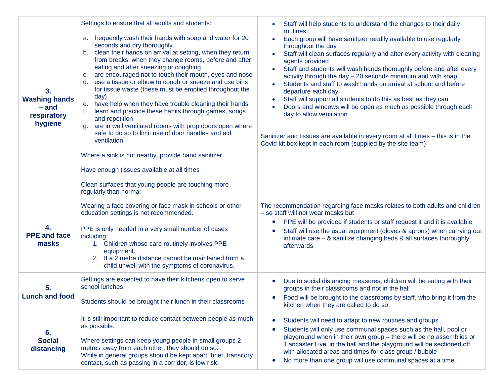| 3.<br><b>Washing hands</b><br>– and<br>respiratory<br>hygiene | Settings to ensure that all adults and students:<br>frequently wash their hands with soap and water for 20<br>a.<br>seconds and dry thoroughly.<br>b. clean their hands on arrival at setting, when they return<br>from breaks, when they change rooms, before and after<br>eating and after sneezing or coughing<br>are encouraged not to touch their mouth, eyes and nose<br>C.<br>use a tissue or elbow to cough or sneeze and use bins<br>d.<br>for tissue waste (these must be emptied throughout the<br>day)<br>have help when they have trouble cleaning their hands<br>е.<br>learn and practice these habits through games, songs<br>and repetition<br>are in well ventilated rooms with prop doors open where<br>q.<br>safe to do so to limit use of door handles and aid<br>ventilation<br>Where a sink is not nearby, provide hand sanitizer<br>Have enough tissues available at all times<br>Clean surfaces that young people are touching more<br>regularly than normal | Staff will help students to understand the changes to their daily<br>routines.<br>Each group will have sanitizer readily available to use regularly<br>$\bullet$<br>throughout the day<br>Staff will clean surfaces regularly and after every activity with cleaning<br>agents provided<br>Staff and students will wash hands thoroughly before and after every<br>$\bullet$<br>activity through the day $-20$ seconds minimum and with soap<br>Students and staff to wash hands on arrival at school and before<br>departure each day<br>Staff will support all students to do this as best as they can<br>$\bullet$<br>Doors and windows will be open as much as possible through each<br>day to allow ventilation<br>Sanitizer and tissues are available in every room at all times - this is in the<br>Covid kit box kept in each room (supplied by the site team) |
|---------------------------------------------------------------|--------------------------------------------------------------------------------------------------------------------------------------------------------------------------------------------------------------------------------------------------------------------------------------------------------------------------------------------------------------------------------------------------------------------------------------------------------------------------------------------------------------------------------------------------------------------------------------------------------------------------------------------------------------------------------------------------------------------------------------------------------------------------------------------------------------------------------------------------------------------------------------------------------------------------------------------------------------------------------------|------------------------------------------------------------------------------------------------------------------------------------------------------------------------------------------------------------------------------------------------------------------------------------------------------------------------------------------------------------------------------------------------------------------------------------------------------------------------------------------------------------------------------------------------------------------------------------------------------------------------------------------------------------------------------------------------------------------------------------------------------------------------------------------------------------------------------------------------------------------------|
| 4.<br><b>PPE</b> and face<br>masks                            | Wearing a face covering or face mask in schools or other<br>education settings is not recommended.<br>PPE is only needed in a very small number of cases<br>including:<br>1. Children whose care routinely involves PPE<br>equipment.<br>If a 2 metre distance cannot be maintained from a<br>2.<br>child unwell with the symptoms of coronavirus.                                                                                                                                                                                                                                                                                                                                                                                                                                                                                                                                                                                                                                   | The recommendation regarding face masks relates to both adults and children<br>- so staff will not wear masks but<br>PPE will be provided if students or staff request it and it is available<br>$\bullet$<br>Staff will use the usual equipment (gloves & aprons) when carrying out<br>intimate care $-$ & sanitize changing beds & all surfaces thoroughly<br>afterwards                                                                                                                                                                                                                                                                                                                                                                                                                                                                                             |
| 5.<br><b>Lunch and food</b>                                   | Settings are expected to have their kitchens open to serve<br>school lunches.<br>Students should be brought their lunch in their classrooms                                                                                                                                                                                                                                                                                                                                                                                                                                                                                                                                                                                                                                                                                                                                                                                                                                          | Due to social distancing measures, children will be eating with their<br>groups in their classrooms and not in the hall<br>Food will be brought to the classrooms by staff, who bring it from the<br>$\bullet$<br>kitchen when they are called to do so                                                                                                                                                                                                                                                                                                                                                                                                                                                                                                                                                                                                                |
| 6.<br><b>Social</b><br>distancing                             | It is still important to reduce contact between people as much<br>as possible.<br>Where settings can keep young people in small groups 2<br>metres away from each other, they should do so.<br>While in general groups should be kept apart, brief, transitory<br>contact, such as passing in a corridor, is low risk.                                                                                                                                                                                                                                                                                                                                                                                                                                                                                                                                                                                                                                                               | Students will need to adapt to new routines and groups<br>$\bullet$<br>Students will only use communal spaces such as the hall, pool or<br>۰<br>playground when in their own group - there will be no assemblies or<br>'Lancaster Live' in the hall and the playground will be sectioned off<br>with allocated areas and times for class group / bubble<br>No more than one group will use communal spaces at a time.<br>$\bullet$                                                                                                                                                                                                                                                                                                                                                                                                                                     |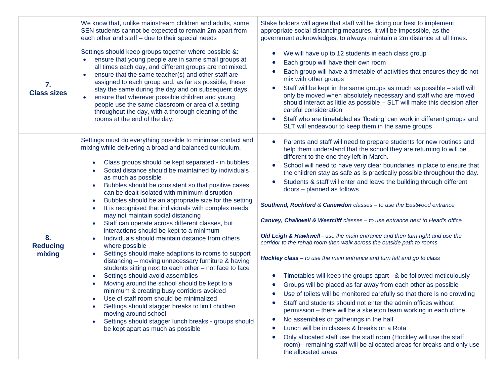|                                 | We know that, unlike mainstream children and adults, some<br>SEN students cannot be expected to remain 2m apart from<br>each other and staff - due to their special needs                                                                                                                                                                                                                                                                                                                                                                                                                                                                                                                                                                                                                                                                                                                                                                                                                                                                                                                                                                                                                                                                                                                                                                                                                     | Stake holders will agree that staff will be doing our best to implement<br>appropriate social distancing measures, it will be impossible, as the<br>government acknowledges, to always maintain a 2m distance at all times.                                                                                                                                                                                                                                                                                                                                                                                                                                                                                                                                                                                                                                                                                                                                                                                                                                                                                                                                                                                                                                                                                                                                                                                                                                                                                                             |
|---------------------------------|-----------------------------------------------------------------------------------------------------------------------------------------------------------------------------------------------------------------------------------------------------------------------------------------------------------------------------------------------------------------------------------------------------------------------------------------------------------------------------------------------------------------------------------------------------------------------------------------------------------------------------------------------------------------------------------------------------------------------------------------------------------------------------------------------------------------------------------------------------------------------------------------------------------------------------------------------------------------------------------------------------------------------------------------------------------------------------------------------------------------------------------------------------------------------------------------------------------------------------------------------------------------------------------------------------------------------------------------------------------------------------------------------|-----------------------------------------------------------------------------------------------------------------------------------------------------------------------------------------------------------------------------------------------------------------------------------------------------------------------------------------------------------------------------------------------------------------------------------------------------------------------------------------------------------------------------------------------------------------------------------------------------------------------------------------------------------------------------------------------------------------------------------------------------------------------------------------------------------------------------------------------------------------------------------------------------------------------------------------------------------------------------------------------------------------------------------------------------------------------------------------------------------------------------------------------------------------------------------------------------------------------------------------------------------------------------------------------------------------------------------------------------------------------------------------------------------------------------------------------------------------------------------------------------------------------------------------|
| 7.<br><b>Class sizes</b>        | Settings should keep groups together where possible &:<br>ensure that young people are in same small groups at<br>all times each day, and different groups are not mixed.<br>ensure that the same teacher(s) and other staff are<br>assigned to each group and, as far as possible, these<br>stay the same during the day and on subsequent days.<br>ensure that wherever possible children and young<br>people use the same classroom or area of a setting<br>throughout the day, with a thorough cleaning of the<br>rooms at the end of the day.                                                                                                                                                                                                                                                                                                                                                                                                                                                                                                                                                                                                                                                                                                                                                                                                                                            | We will have up to 12 students in each class group<br>Each group will have their own room<br>Each group will have a timetable of activities that ensures they do not<br>mix with other groups<br>Staff will be kept in the same groups as much as possible - staff will<br>$\bullet$<br>only be moved when absolutely necessary and staff who are moved<br>should interact as little as possible - SLT will make this decision after<br>careful consideration<br>Staff who are timetabled as 'floating' can work in different groups and<br>$\bullet$<br>SLT will endeavour to keep them in the same groups                                                                                                                                                                                                                                                                                                                                                                                                                                                                                                                                                                                                                                                                                                                                                                                                                                                                                                                             |
| 8.<br><b>Reducing</b><br>mixing | Settings must do everything possible to minimise contact and<br>mixing while delivering a broad and balanced curriculum.<br>Class groups should be kept separated - in bubbles<br>$\bullet$<br>Social distance should be maintained by individuals<br>$\bullet$<br>as much as possible<br>Bubbles should be consistent so that positive cases<br>$\bullet$<br>can be dealt isolated with minimum disruption<br>Bubbles should be an appropriate size for the setting<br>$\bullet$<br>It is recognised that individuals with complex needs<br>$\bullet$<br>may not maintain social distancing<br>Staff can operate across different classes, but<br>$\bullet$<br>interactions should be kept to a minimum<br>Individuals should maintain distance from others<br>$\bullet$<br>where possible<br>Settings should make adaptions to rooms to support<br>$\bullet$<br>distancing - moving unnecessary furniture & having<br>students sitting next to each other - not face to face<br>Settings should avoid assemblies<br>$\bullet$<br>Moving around the school should be kept to a<br>$\bullet$<br>minimum & creating busy corridors avoided<br>Use of staff room should be minimalized<br>$\bullet$<br>Settings should stagger breaks to limit children<br>٠<br>moving around school.<br>Settings should stagger lunch breaks - groups should<br>$\bullet$<br>be kept apart as much as possible | Parents and staff will need to prepare students for new routines and<br>$\bullet$<br>help them understand that the school they are returning to will be<br>different to the one they left in March.<br>School will need to have very clear boundaries in place to ensure that<br>$\bullet$<br>the children stay as safe as is practically possible throughout the day.<br>Students & staff will enter and leave the building through different<br>doors - planned as follows<br>Southend, Rochford & Canewdon classes - to use the Eastwood entrance<br><b>Canvey, Chalkwell &amp; Westcliff</b> classes - to use entrance next to Head's office<br>Old Leigh & Hawkwell - use the main entrance and then turn right and use the<br>corridor to the rehab room then walk across the outside path to rooms<br>Hockley class - to use the main entrance and turn left and go to class<br>Timetables will keep the groups apart - & be followed meticulously<br>$\bullet$<br>Groups will be placed as far away from each other as possible<br>Use of toilets will be monitored carefully so that there is no crowding<br>Staff and students should not enter the admin offices without<br>permission – there will be a skeleton team working in each office<br>No assemblies or gatherings in the hall<br>Lunch will be in classes & breaks on a Rota<br>Only allocated staff use the staff room (Hockley will use the staff<br>$\bullet$<br>room)- remaining staff will be allocated areas for breaks and only use<br>the allocated areas |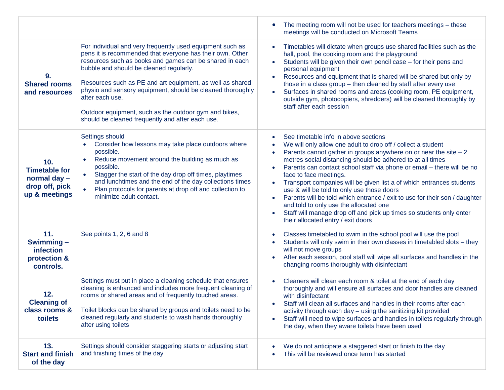|                                                                                |                                                                                                                                                                                                                                                                                                                                                                                                                                                                                         | The meeting room will not be used for teachers meetings - these<br>meetings will be conducted on Microsoft Teams                                                                                                                                                                                                                                                                                                                                                                                                                                                                                                                                                                                       |
|--------------------------------------------------------------------------------|-----------------------------------------------------------------------------------------------------------------------------------------------------------------------------------------------------------------------------------------------------------------------------------------------------------------------------------------------------------------------------------------------------------------------------------------------------------------------------------------|--------------------------------------------------------------------------------------------------------------------------------------------------------------------------------------------------------------------------------------------------------------------------------------------------------------------------------------------------------------------------------------------------------------------------------------------------------------------------------------------------------------------------------------------------------------------------------------------------------------------------------------------------------------------------------------------------------|
| 9.<br><b>Shared rooms</b><br>and resources                                     | For individual and very frequently used equipment such as<br>pens it is recommended that everyone has their own. Other<br>resources such as books and games can be shared in each<br>bubble and should be cleaned regularly.<br>Resources such as PE and art equipment, as well as shared<br>physio and sensory equipment, should be cleaned thoroughly<br>after each use.<br>Outdoor equipment, such as the outdoor gym and bikes,<br>should be cleaned frequently and after each use. | Timetables will dictate when groups use shared facilities such as the<br>hall, pool, the cooking room and the playground<br>Students will be given their own pencil case - for their pens and<br>$\bullet$<br>personal equipment<br>Resources and equipment that is shared will be shared but only by<br>those in a class group - then cleaned by staff after every use<br>Surfaces in shared rooms and areas (cooking room, PE equipment,<br>outside gym, photocopiers, shredders) will be cleaned thoroughly by<br>staff after each session                                                                                                                                                          |
| 10.<br><b>Timetable for</b><br>normal day -<br>drop off, pick<br>up & meetings | Settings should<br>Consider how lessons may take place outdoors where<br>possible.<br>Reduce movement around the building as much as<br>$\bullet$<br>possible.<br>Stagger the start of the day drop off times, playtimes<br>$\bullet$<br>and lunchtimes and the end of the day collections times<br>Plan protocols for parents at drop off and collection to<br>minimize adult contact.                                                                                                 | See timetable info in above sections<br>We will only allow one adult to drop off / collect a student<br>Parents cannot gather in groups anywhere on or near the site $-2$<br>metres social distancing should be adhered to at all times<br>Parents can contact school staff via phone or email - there will be no<br>face to face meetings.<br>Transport companies will be given list a of which entrances students<br>use & will be told to only use those doors<br>Parents will be told which entrance / exit to use for their son / daughter<br>and told to only use the allocated one<br>Staff will manage drop off and pick up times so students only enter<br>their allocated entry / exit doors |
| 11.<br>Swimming-<br>infection<br>protection &<br>controls.                     | See points 1, 2, 6 and 8                                                                                                                                                                                                                                                                                                                                                                                                                                                                | Classes timetabled to swim in the school pool will use the pool<br>Students will only swim in their own classes in timetabled slots - they<br>will not move groups<br>After each session, pool staff will wipe all surfaces and handles in the<br>changing rooms thoroughly with disinfectant                                                                                                                                                                                                                                                                                                                                                                                                          |
| 12.<br><b>Cleaning of</b><br>class rooms &<br>toilets                          | Settings must put in place a cleaning schedule that ensures<br>cleaning is enhanced and includes more frequent cleaning of<br>rooms or shared areas and of frequently touched areas.<br>Toilet blocks can be shared by groups and toilets need to be<br>cleaned regularly and students to wash hands thoroughly<br>after using toilets                                                                                                                                                  | Cleaners will clean each room & toilet at the end of each day<br>thoroughly and will ensure all surfaces and door handles are cleaned<br>with disinfectant<br>Staff will clean all surfaces and handles in their rooms after each<br>activity through each day - using the sanitizing kit provided<br>Staff will need to wipe surfaces and handles in toilets regularly through<br>the day, when they aware toilets have been used                                                                                                                                                                                                                                                                     |
| 13.<br><b>Start and finish</b><br>of the day                                   | Settings should consider staggering starts or adjusting start<br>and finishing times of the day                                                                                                                                                                                                                                                                                                                                                                                         | We do not anticipate a staggered start or finish to the day<br>This will be reviewed once term has started                                                                                                                                                                                                                                                                                                                                                                                                                                                                                                                                                                                             |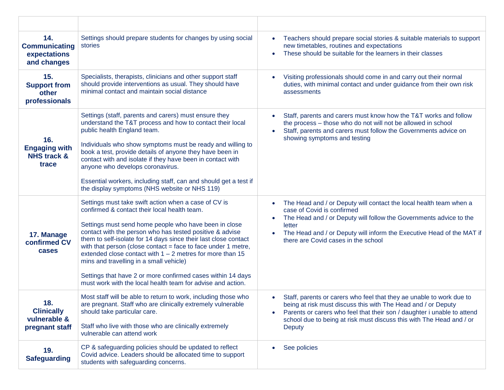| 14.<br><b>Communicating</b><br>expectations<br>and changes     | Settings should prepare students for changes by using social<br>stories                                                                                                                                                                                                                                                                                                                                                                                                                                                                                                                               | Teachers should prepare social stories & suitable materials to support<br>$\bullet$<br>new timetables, routines and expectations<br>These should be suitable for the learners in their classes<br>$\bullet$                                                                                                                             |
|----------------------------------------------------------------|-------------------------------------------------------------------------------------------------------------------------------------------------------------------------------------------------------------------------------------------------------------------------------------------------------------------------------------------------------------------------------------------------------------------------------------------------------------------------------------------------------------------------------------------------------------------------------------------------------|-----------------------------------------------------------------------------------------------------------------------------------------------------------------------------------------------------------------------------------------------------------------------------------------------------------------------------------------|
| 15.<br><b>Support from</b><br>other<br>professionals           | Specialists, therapists, clinicians and other support staff<br>should provide interventions as usual. They should have<br>minimal contact and maintain social distance                                                                                                                                                                                                                                                                                                                                                                                                                                | Visiting professionals should come in and carry out their normal<br>$\bullet$<br>duties, with minimal contact and under guidance from their own risk<br>assessments                                                                                                                                                                     |
| 16.<br><b>Engaging with</b><br><b>NHS track &amp;</b><br>trace | Settings (staff, parents and carers) must ensure they<br>understand the T&T process and how to contact their local<br>public health England team.<br>Individuals who show symptoms must be ready and willing to<br>book a test, provide details of anyone they have been in<br>contact with and isolate if they have been in contact with<br>anyone who develops coronavirus.<br>Essential workers, including staff, can and should get a test if<br>the display symptoms (NHS website or NHS 119)                                                                                                    | Staff, parents and carers must know how the T&T works and follow<br>$\bullet$<br>the process - those who do not will not be allowed in school<br>Staff, parents and carers must follow the Governments advice on<br>$\bullet$<br>showing symptoms and testing                                                                           |
| 17. Manage<br>confirmed CV<br>cases                            | Settings must take swift action when a case of CV is<br>confirmed & contact their local health team.<br>Settings must send home people who have been in close<br>contact with the person who has tested positive & advise<br>them to self-isolate for 14 days since their last close contact<br>with that person (close contact = face to face under 1 metre,<br>extended close contact with $1 - 2$ metres for more than 15<br>mins and travelling in a small vehicle)<br>Settings that have 2 or more confirmed cases within 14 days<br>must work with the local health team for advise and action. | The Head and / or Deputy will contact the local health team when a<br>$\bullet$<br>case of Covid is confirmed<br>The Head and / or Deputy will follow the Governments advice to the<br>$\bullet$<br>letter<br>The Head and / or Deputy will inform the Executive Head of the MAT if<br>$\bullet$<br>there are Covid cases in the school |
| 18.<br><b>Clinically</b><br>vulnerable &<br>pregnant staff     | Most staff will be able to return to work, including those who<br>are pregnant. Staff who are clinically extremely vulnerable<br>should take particular care.<br>Staff who live with those who are clinically extremely<br>vulnerable can attend work                                                                                                                                                                                                                                                                                                                                                 | Staff, parents or carers who feel that they ae unable to work due to<br>$\bullet$<br>being at risk must discuss this with The Head and / or Deputy<br>Parents or carers who feel that their son / daughter i unable to attend<br>$\bullet$<br>school due to being at risk must discuss this with The Head and / or<br>Deputy            |
| 19.<br><b>Safeguarding</b>                                     | CP & safeguarding policies should be updated to reflect<br>Covid advice. Leaders should be allocated time to support<br>students with safeguarding concerns.                                                                                                                                                                                                                                                                                                                                                                                                                                          | See policies<br>$\bullet$                                                                                                                                                                                                                                                                                                               |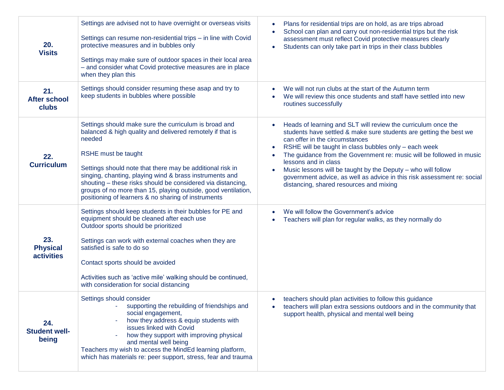| 20.<br><b>Visits</b>                        | Settings are advised not to have overnight or overseas visits<br>Settings can resume non-residential trips - in line with Covid<br>protective measures and in bubbles only<br>Settings may make sure of outdoor spaces in their local area<br>- and consider what Covid protective measures are in place<br>when they plan this                                                                                                                                    | Plans for residential trips are on hold, as are trips abroad<br>$\bullet$<br>School can plan and carry out non-residential trips but the risk<br>assessment must reflect Covid protective measures clearly<br>Students can only take part in trips in their class bubbles<br>$\bullet$                                                                                                                                                                                                                                            |
|---------------------------------------------|--------------------------------------------------------------------------------------------------------------------------------------------------------------------------------------------------------------------------------------------------------------------------------------------------------------------------------------------------------------------------------------------------------------------------------------------------------------------|-----------------------------------------------------------------------------------------------------------------------------------------------------------------------------------------------------------------------------------------------------------------------------------------------------------------------------------------------------------------------------------------------------------------------------------------------------------------------------------------------------------------------------------|
| 21.<br><b>After school</b><br>clubs         | Settings should consider resuming these asap and try to<br>keep students in bubbles where possible                                                                                                                                                                                                                                                                                                                                                                 | We will not run clubs at the start of the Autumn term<br>We will review this once students and staff have settled into new<br>routines successfully                                                                                                                                                                                                                                                                                                                                                                               |
| 22.<br><b>Curriculum</b>                    | Settings should make sure the curriculum is broad and<br>balanced & high quality and delivered remotely if that is<br>needed<br>RSHE must be taught<br>Settings should note that there may be additional risk in<br>singing, chanting, playing wind & brass instruments and<br>shouting - these risks should be considered via distancing,<br>groups of no more than 15, playing outside, good ventilation,<br>positioning of learners & no sharing of instruments | Heads of learning and SLT will review the curriculum once the<br>students have settled & make sure students are getting the best we<br>can offer in the circumstances<br>RSHE will be taught in class bubbles only - each week<br>$\bullet$<br>The guidance from the Government re: music will be followed in music<br>lessons and in class<br>Music lessons will be taught by the Deputy - who will follow<br>government advice, as well as advice in this risk assessment re: social<br>distancing, shared resources and mixing |
| 23.<br><b>Physical</b><br><b>activities</b> | Settings should keep students in their bubbles for PE and<br>equipment should be cleaned after each use<br>Outdoor sports should be prioritized<br>Settings can work with external coaches when they are<br>satisfied is safe to do so<br>Contact sports should be avoided<br>Activities such as 'active mile' walking should be continued,<br>with consideration for social distancing                                                                            | We will follow the Government's advice<br>Teachers will plan for regular walks, as they normally do                                                                                                                                                                                                                                                                                                                                                                                                                               |
| 24.<br><b>Student well-</b><br>being        | Settings should consider<br>supporting the rebuilding of friendships and<br>social engagement,<br>how they address & equip students with<br>issues linked with Covid<br>how they support with improving physical<br>and mental well being<br>Teachers my wish to access the MindEd learning platform,<br>which has materials re: peer support, stress, fear and trauma                                                                                             | teachers should plan activities to follow this guidance<br>$\bullet$<br>teachers will plan extra sessions outdoors and in the community that<br>support health, physical and mental well being                                                                                                                                                                                                                                                                                                                                    |